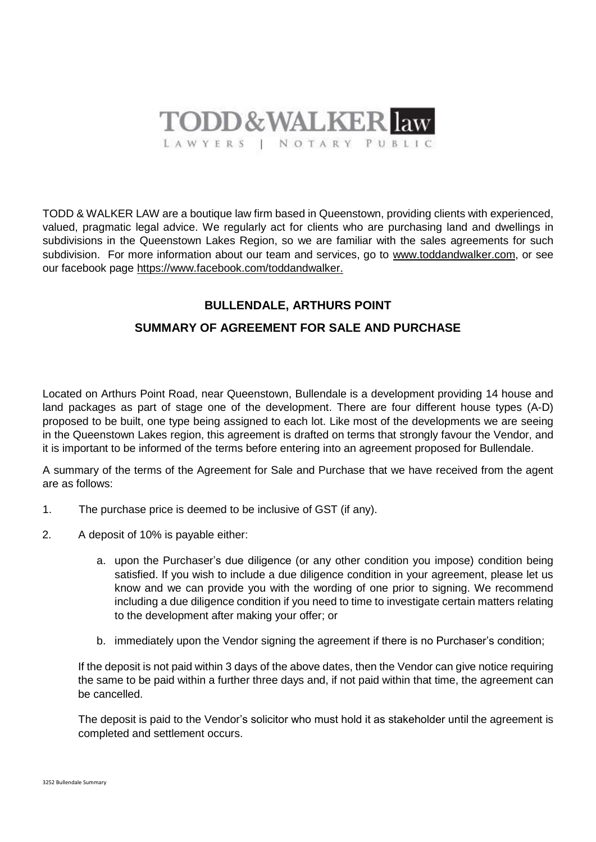

TODD & WALKER LAW are a boutique law firm based in Queenstown, providing clients with experienced, valued, pragmatic legal advice. We regularly act for clients who are purchasing land and dwellings in subdivisions in the Queenstown Lakes Region, so we are familiar with the sales agreements for such subdivision. For more information about our team and services, go to [www.toddandwalker.com,](http://www.toddandwalker.com/) or see our facebook page https://www.facebook.com/toddandwalker.

## **BULLENDALE, ARTHURS POINT**

## **SUMMARY OF AGREEMENT FOR SALE AND PURCHASE**

Located on Arthurs Point Road, near Queenstown, Bullendale is a development providing 14 house and land packages as part of stage one of the development. There are four different house types (A-D) proposed to be built, one type being assigned to each lot. Like most of the developments we are seeing in the Queenstown Lakes region, this agreement is drafted on terms that strongly favour the Vendor, and it is important to be informed of the terms before entering into an agreement proposed for Bullendale.

A summary of the terms of the Agreement for Sale and Purchase that we have received from the agent are as follows:

- 1. The purchase price is deemed to be inclusive of GST (if any).
- 2. A deposit of 10% is payable either:
	- a. upon the Purchaser's due diligence (or any other condition you impose) condition being satisfied. If you wish to include a due diligence condition in your agreement, please let us know and we can provide you with the wording of one prior to signing. We recommend including a due diligence condition if you need to time to investigate certain matters relating to the development after making your offer; or
	- b. immediately upon the Vendor signing the agreement if there is no Purchaser's condition;

If the deposit is not paid within 3 days of the above dates, then the Vendor can give notice requiring the same to be paid within a further three days and, if not paid within that time, the agreement can be cancelled.

The deposit is paid to the Vendor's solicitor who must hold it as stakeholder until the agreement is completed and settlement occurs.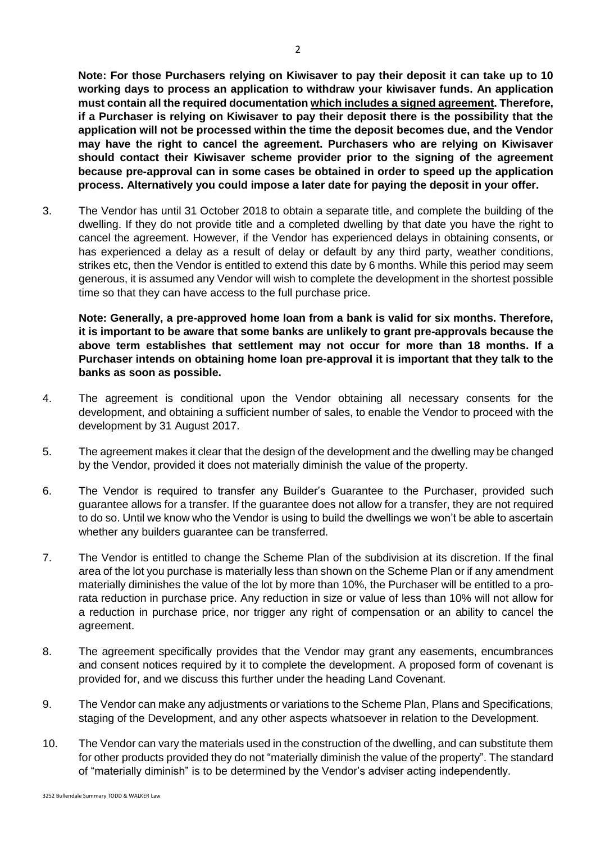**Note: For those Purchasers relying on Kiwisaver to pay their deposit it can take up to 10 working days to process an application to withdraw your kiwisaver funds. An application must contain all the required documentation which includes a signed agreement. Therefore, if a Purchaser is relying on Kiwisaver to pay their deposit there is the possibility that the application will not be processed within the time the deposit becomes due, and the Vendor may have the right to cancel the agreement. Purchasers who are relying on Kiwisaver should contact their Kiwisaver scheme provider prior to the signing of the agreement because pre-approval can in some cases be obtained in order to speed up the application process. Alternatively you could impose a later date for paying the deposit in your offer.**

3. The Vendor has until 31 October 2018 to obtain a separate title, and complete the building of the dwelling. If they do not provide title and a completed dwelling by that date you have the right to cancel the agreement. However, if the Vendor has experienced delays in obtaining consents, or has experienced a delay as a result of delay or default by any third party, weather conditions, strikes etc, then the Vendor is entitled to extend this date by 6 months. While this period may seem generous, it is assumed any Vendor will wish to complete the development in the shortest possible time so that they can have access to the full purchase price.

**Note: Generally, a pre-approved home loan from a bank is valid for six months. Therefore, it is important to be aware that some banks are unlikely to grant pre-approvals because the above term establishes that settlement may not occur for more than 18 months. If a Purchaser intends on obtaining home loan pre-approval it is important that they talk to the banks as soon as possible.** 

- 4. The agreement is conditional upon the Vendor obtaining all necessary consents for the development, and obtaining a sufficient number of sales, to enable the Vendor to proceed with the development by 31 August 2017.
- 5. The agreement makes it clear that the design of the development and the dwelling may be changed by the Vendor, provided it does not materially diminish the value of the property.
- 6. The Vendor is required to transfer any Builder's Guarantee to the Purchaser, provided such guarantee allows for a transfer. If the guarantee does not allow for a transfer, they are not required to do so. Until we know who the Vendor is using to build the dwellings we won't be able to ascertain whether any builders guarantee can be transferred.
- 7. The Vendor is entitled to change the Scheme Plan of the subdivision at its discretion. If the final area of the lot you purchase is materially less than shown on the Scheme Plan or if any amendment materially diminishes the value of the lot by more than 10%, the Purchaser will be entitled to a prorata reduction in purchase price. Any reduction in size or value of less than 10% will not allow for a reduction in purchase price, nor trigger any right of compensation or an ability to cancel the agreement.
- 8. The agreement specifically provides that the Vendor may grant any easements, encumbrances and consent notices required by it to complete the development. A proposed form of covenant is provided for, and we discuss this further under the heading Land Covenant.
- 9. The Vendor can make any adjustments or variations to the Scheme Plan, Plans and Specifications, staging of the Development, and any other aspects whatsoever in relation to the Development.
- 10. The Vendor can vary the materials used in the construction of the dwelling, and can substitute them for other products provided they do not "materially diminish the value of the property". The standard of "materially diminish" is to be determined by the Vendor's adviser acting independently.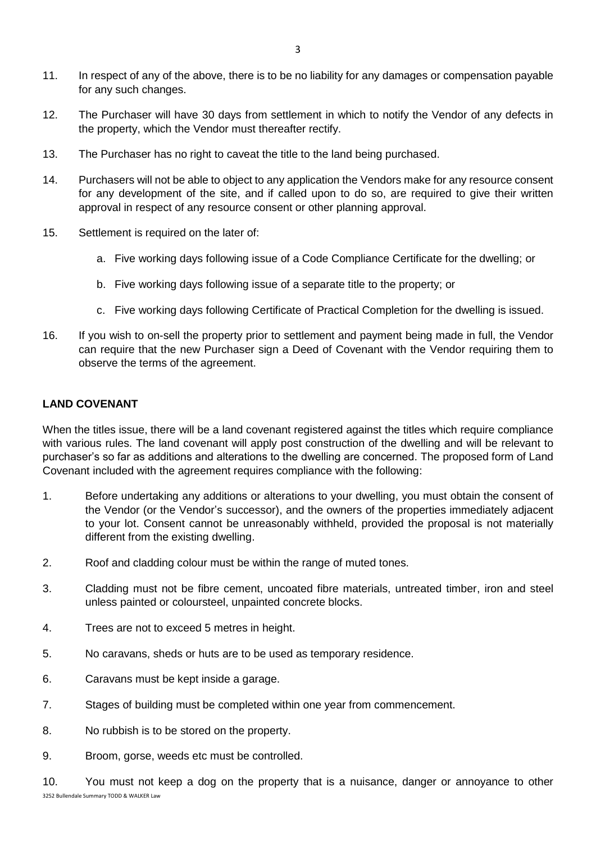- 11. In respect of any of the above, there is to be no liability for any damages or compensation payable for any such changes.
- 12. The Purchaser will have 30 days from settlement in which to notify the Vendor of any defects in the property, which the Vendor must thereafter rectify.
- 13. The Purchaser has no right to caveat the title to the land being purchased.
- 14. Purchasers will not be able to object to any application the Vendors make for any resource consent for any development of the site, and if called upon to do so, are required to give their written approval in respect of any resource consent or other planning approval.
- 15. Settlement is required on the later of:
	- a. Five working days following issue of a Code Compliance Certificate for the dwelling; or
	- b. Five working days following issue of a separate title to the property; or
	- c. Five working days following Certificate of Practical Completion for the dwelling is issued.
- 16. If you wish to on-sell the property prior to settlement and payment being made in full, the Vendor can require that the new Purchaser sign a Deed of Covenant with the Vendor requiring them to observe the terms of the agreement.

## **LAND COVENANT**

When the titles issue, there will be a land covenant registered against the titles which require compliance with various rules. The land covenant will apply post construction of the dwelling and will be relevant to purchaser's so far as additions and alterations to the dwelling are concerned. The proposed form of Land Covenant included with the agreement requires compliance with the following:

- 1. Before undertaking any additions or alterations to your dwelling, you must obtain the consent of the Vendor (or the Vendor's successor), and the owners of the properties immediately adjacent to your lot. Consent cannot be unreasonably withheld, provided the proposal is not materially different from the existing dwelling.
- 2. Roof and cladding colour must be within the range of muted tones.
- 3. Cladding must not be fibre cement, uncoated fibre materials, untreated timber, iron and steel unless painted or coloursteel, unpainted concrete blocks.
- 4. Trees are not to exceed 5 metres in height.
- 5. No caravans, sheds or huts are to be used as temporary residence.
- 6. Caravans must be kept inside a garage.
- 7. Stages of building must be completed within one year from commencement.
- 8. No rubbish is to be stored on the property.
- 9. Broom, gorse, weeds etc must be controlled.
- 3252 Bullendale Summary TODD & WALKER Law 10. You must not keep a dog on the property that is a nuisance, danger or annoyance to other